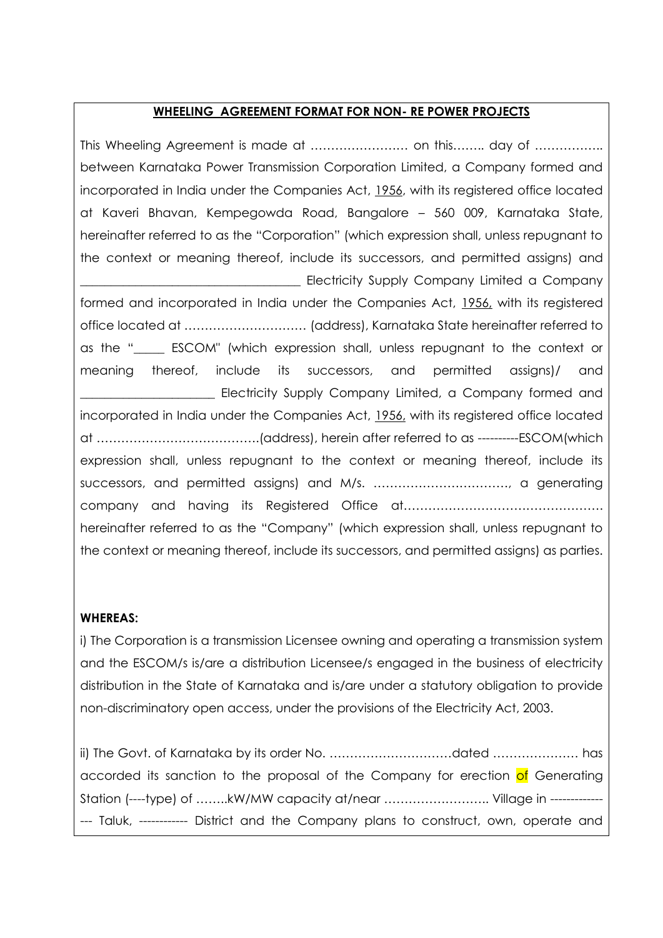### **WHEELING AGREEMENT FORMAT FOR NON- RE POWER PROJECTS**

This Wheeling Agreement is made at …………………… on this…….. day of …………….. between Karnataka Power Transmission Corporation Limited, a Company formed and incorporated in India under the Companies Act, 1956, with its registered office located at Kaveri Bhavan, Kempegowda Road, Bangalore – 560 009, Karnataka State, hereinafter referred to as the "Corporation" (which expression shall, unless repugnant to the context or meaning thereof, include its successors, and permitted assigns) and Electricity Supply Company Limited a Company formed and incorporated in India under the Companies Act, 1956, with its registered office located at ………………………… (address), Karnataka State hereinafter referred to as the "\_\_\_\_\_ ESCOM" (which expression shall, unless repugnant to the context or meaning thereof, include its successors, and permitted assigns)/ and Electricity Supply Company Limited, a Company formed and incorporated in India under the Companies Act, 1956, with its registered office located at ………………………………….(address), herein after referred to as ----------ESCOM(which expression shall, unless repugnant to the context or meaning thereof, include its successors, and permitted assigns) and M/s. ……………………………, a generating company and having its Registered Office at…………………………………………. hereinafter referred to as the "Company" (which expression shall, unless repugnant to the context or meaning thereof, include its successors, and permitted assigns) as parties.

#### **WHEREAS:**

i) The Corporation is a transmission Licensee owning and operating a transmission system and the ESCOM/s is/are a distribution Licensee/s engaged in the business of electricity distribution in the State of Karnataka and is*/*are under a statutory obligation to provide non-discriminatory open access, under the provisions of the Electricity Act, 2003.

ii) The Govt. of Karnataka by its order No. …………………………dated ………………… has accorded its sanction to the proposal of the Company for erection of Generating Station (----type) of ……..kW/MW capacity at/near …………………….. Village in ------------- --- Taluk, ------------ District and the Company plans to construct, own, operate and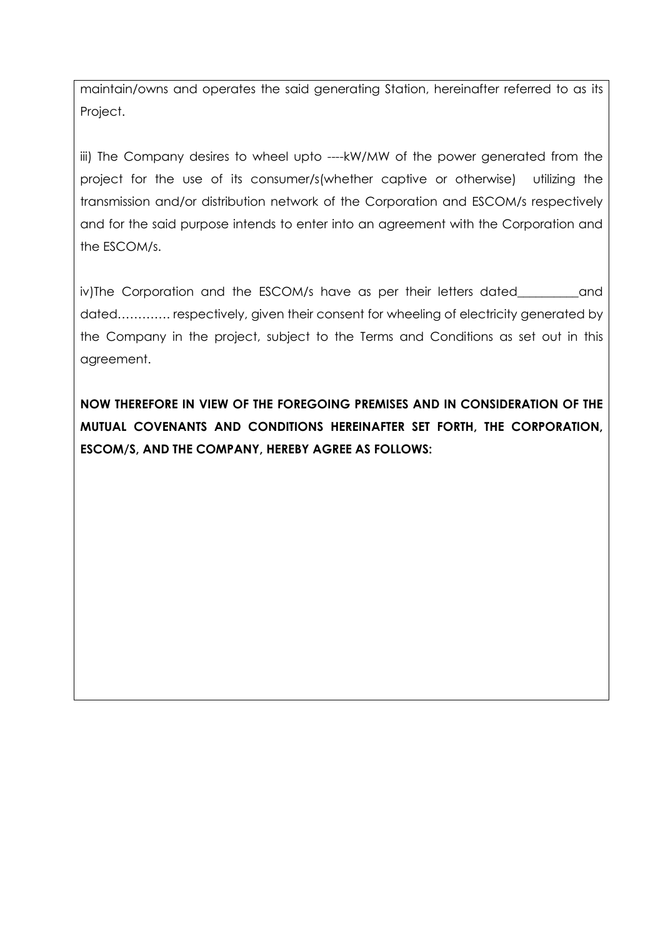maintain/owns and operates the said generating Station, hereinafter referred to as its Project.

iii) The Company desires to wheel upto ----kW/MW of the power generated from the project for the use of its consumer/s(whether captive or otherwise) utilizing the transmission and/or distribution network of the Corporation and ESCOM/s respectively and for the said purpose intends to enter into an agreement with the Corporation and the ESCOM/s.

iv)The Corporation and the ESCOM/s have as per their letters dated\_\_\_\_\_\_\_\_\_\_and dated…………. respectively, given their consent for wheeling of electricity generated by the Company in the project, subject to the Terms and Conditions as set out in this agreement.

**NOW THEREFORE IN VIEW OF THE FOREGOING PREMISES AND IN CONSIDERATION OF THE MUTUAL COVENANTS AND CONDITIONS HEREINAFTER SET FORTH, THE CORPORATION, ESCOM/S, AND THE COMPANY, HEREBY AGREE AS FOLLOWS:**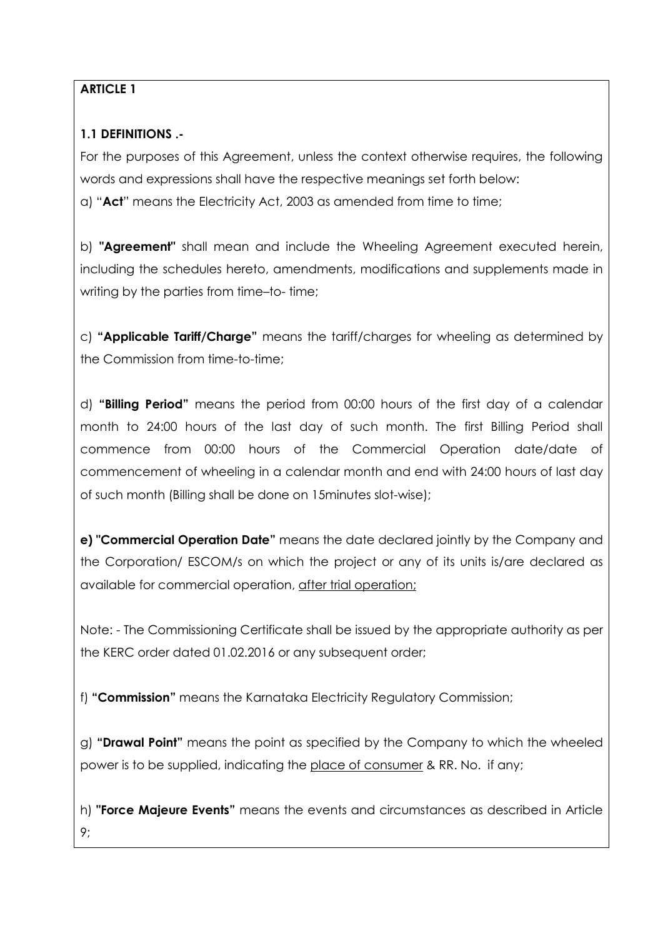## **ARTICLE 1**

## **1.1 DEFINITIONS .-**

For the purposes of this Agreement, unless the context otherwise requires, the following words and expressions shall have the respective meanings set forth below: a) "**Act**" means the Electricity Act, 2003 as amended from time to time;

b) **"Agreement"** shall mean and include the Wheeling Agreement executed herein, including the schedules hereto, amendments, modifications and supplements made in writing by the parties from time–to- time;

c) **"Applicable Tariff/Charge"** means the tariff/charges for wheeling as determined by the Commission from time-to-time;

d) **"Billing Period"** means the period from 00:00 hours of the first day of a calendar month to 24:00 hours of the last day of such month. The first Billing Period shall commence from 00:00 hours of the Commercial Operation date/date of commencement of wheeling in a calendar month and end with 24:00 hours of last day of such month (Billing shall be done on 15minutes slot-wise);

**e) "Commercial Operation Date"** means the date declared jointly by the Company and the Corporation/ ESCOM/s on which the project or any of its units is/are declared as available for commercial operation, after trial operation;

Note: - The Commissioning Certificate shall be issued by the appropriate authority as per the KERC order dated 01.02.2016 or any subsequent order;

f) **"Commission"** means the Karnataka Electricity Regulatory Commission;

g) **"Drawal Point"** means the point as specified by the Company to which the wheeled power is to be supplied, indicating the place of consumer & RR. No. if any;

h) **"Force Majeure Events"** means the events and circumstances as described in Article 9;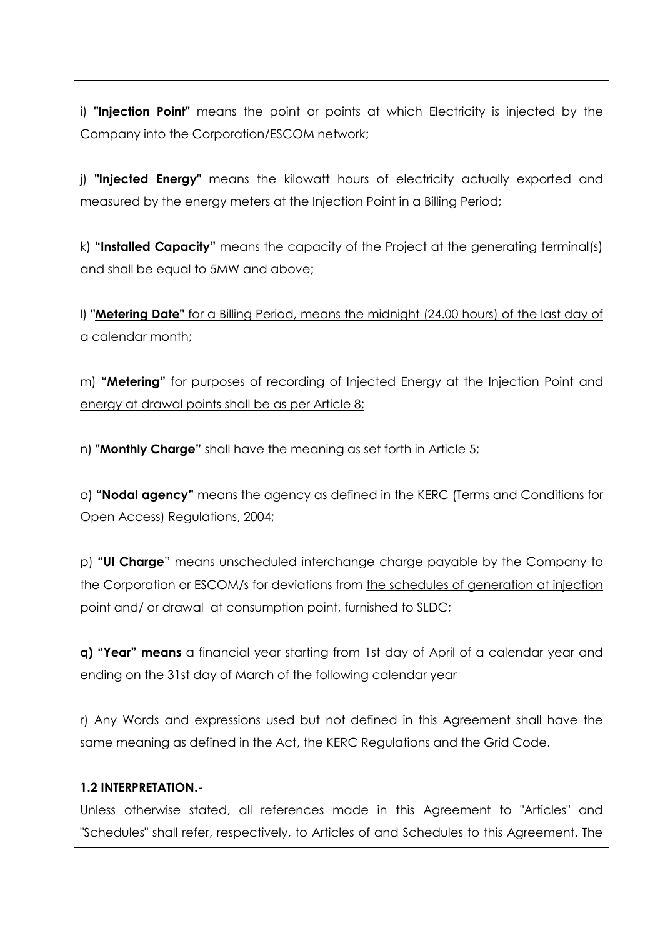i) **"Injection Point"** means the point or points at which Electricity is injected by the Company into the Corporation/ESCOM network;

j) **"Injected Energy"** means the kilowatt hours of electricity actually exported and measured by the energy meters at the Injection Point in a Billing Period;

k) **"Installed Capacity"** means the capacity of the Project at the generating terminal(s) and shall be equal to 5MW and above;

l) **"Metering Date"** for a Billing Period, means the midnight (24.00 hours) of the last day of a calendar month;

m) **"Metering"** for purposes of recording of Injected Energy at the Injection Point and energy at drawal points shall be as per Article 8;

n) **"Monthly Charge"** shall have the meaning as set forth in Article 5;

o) **"Nodal agency"** means the agency as defined in the KERC (Terms and Conditions for Open Access) Regulations, 2004;

p) **"UI Charge**" means unscheduled interchange charge payable by the Company to the Corporation or ESCOM/s for deviations from the schedules of generation at injection point and/ or drawal at consumption point, furnished to SLDC;

**q) "Year" means** a financial year starting from 1st day of April of a calendar year and ending on the 31st day of March of the following calendar year

r) Any Words and expressions used but not defined in this Agreement shall have the same meaning as defined in the Act, the KERC Regulations and the Grid Code.

### **1.2 INTERPRETATION.-**

Unless otherwise stated, all references made in this Agreement to "Articles" and "Schedules" shall refer, respectively, to Articles of and Schedules to this Agreement. The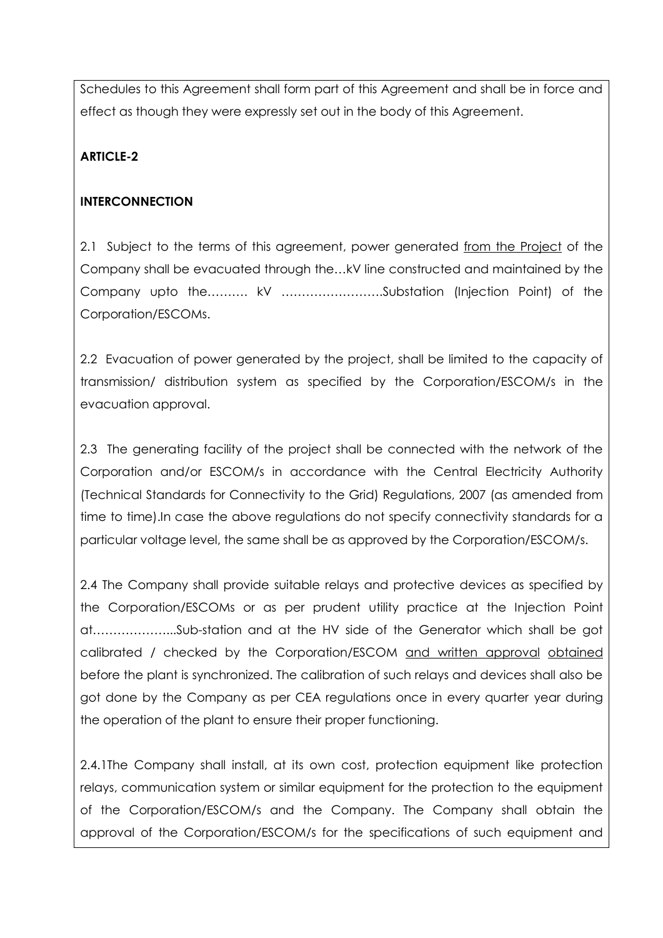Schedules to this Agreement shall form part of this Agreement and shall be in force and effect as though they were expressly set out in the body of this Agreement.

## **ARTICLE-2**

## **INTERCONNECTION**

2.1 Subject to the terms of this agreement, power generated from the Project of the Company shall be evacuated through the…kV line constructed and maintained by the Company upto the………. kV …………………….Substation (Injection Point) of the Corporation/ESCOMs.

2.2 Evacuation of power generated by the project, shall be limited to the capacity of transmission/ distribution system as specified by the Corporation/ESCOM/s in the evacuation approval.

2.3 The generating facility of the project shall be connected with the network of the Corporation and/or ESCOM/s in accordance with the Central Electricity Authority (Technical Standards for Connectivity to the Grid) Regulations, 2007 (as amended from time to time).In case the above regulations do not specify connectivity standards for a particular voltage level, the same shall be as approved by the Corporation/ESCOM/s.

2.4 The Company shall provide suitable relays and protective devices as specified by the Corporation/ESCOMs or as per prudent utility practice at the Injection Point at………………...Sub-station and at the HV side of the Generator which shall be got calibrated / checked by the Corporation/ESCOM and written approval obtained before the plant is synchronized. The calibration of such relays and devices shall also be got done by the Company as per CEA regulations once in every quarter year during the operation of the plant to ensure their proper functioning.

2.4.1The Company shall install, at its own cost, protection equipment like protection relays, communication system or similar equipment for the protection to the equipment of the Corporation/ESCOM/s and the Company. The Company shall obtain the approval of the Corporation/ESCOM/s for the specifications of such equipment and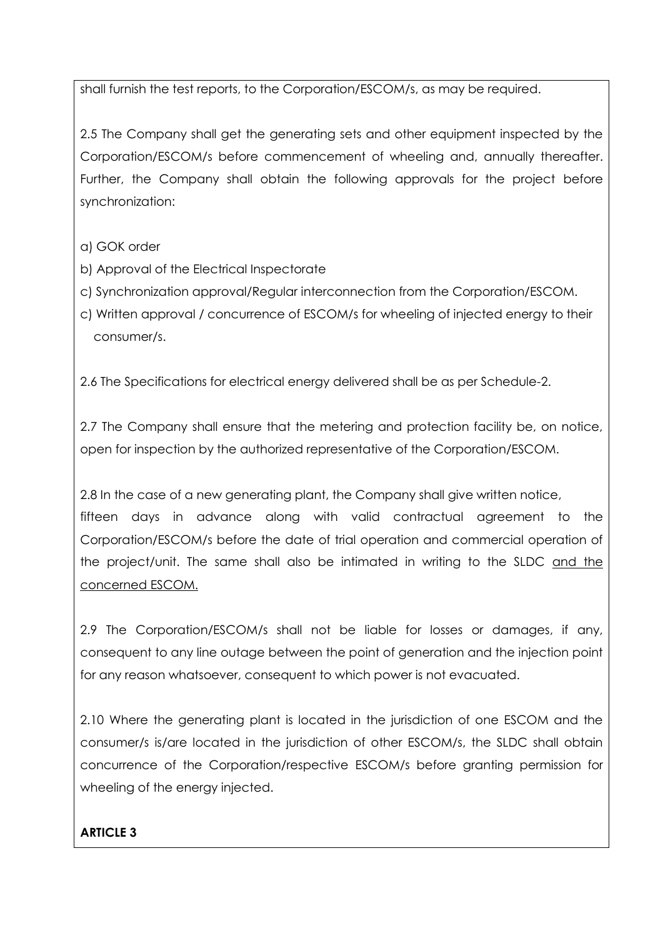shall furnish the test reports, to the Corporation/ESCOM/s, as may be required.

2.5 The Company shall get the generating sets and other equipment inspected by the Corporation/ESCOM/s before commencement of wheeling and, annually thereafter. Further, the Company shall obtain the following approvals for the project before synchronization:

- a) GOK order
- b) Approval of the Electrical Inspectorate
- c) Synchronization approval/Regular interconnection from the Corporation/ESCOM.
- c) Written approval / concurrence of ESCOM/s for wheeling of injected energy to their consumer/s.

2.6 The Specifications for electrical energy delivered shall be as per Schedule-2.

2.7 The Company shall ensure that the metering and protection facility be, on notice, open for inspection by the authorized representative of the Corporation/ESCOM.

2.8 In the case of a new generating plant, the Company shall give written notice, fifteen days in advance along with valid contractual agreement to the Corporation/ESCOM/s before the date of trial operation and commercial operation of the project/unit. The same shall also be intimated in writing to the SLDC and the concerned ESCOM.

2.9 The Corporation/ESCOM/s shall not be liable for losses or damages, if any, consequent to any line outage between the point of generation and the injection point for any reason whatsoever, consequent to which power is not evacuated.

2.10 Where the generating plant is located in the jurisdiction of one ESCOM and the consumer/s is/are located in the jurisdiction of other ESCOM/s, the SLDC shall obtain concurrence of the Corporation/respective ESCOM/s before granting permission for wheeling of the energy injected.

### **ARTICLE 3**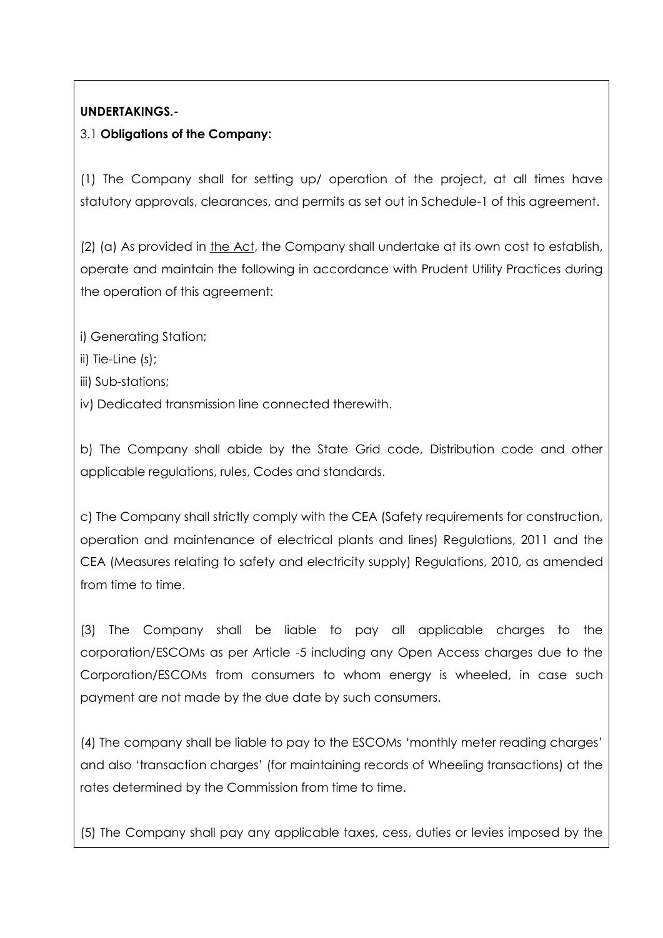## **UNDERTAKINGS.-**

## 3.1 **Obligations of the Company:**

(1) The Company shall for setting up/ operation of the project, at all times have statutory approvals, clearances, and permits as set out in Schedule-1 of this agreement.

(2) (a) As provided in the Act, the Company shall undertake at its own cost to establish, operate and maintain the following in accordance with Prudent Utility Practices during the operation of this agreement:

- i) Generating Station;
- ii) Tie-Line (s);
- iii) Sub-stations;
- iv) Dedicated transmission line connected therewith.

b) The Company shall abide by the State Grid code, Distribution code and other applicable regulations, rules, Codes and standards.

c) The Company shall strictly comply with the CEA (Safety requirements for construction, operation and maintenance of electrical plants and lines) Regulations, 2011 and the CEA (Measures relating to safety and electricity supply) Regulations, 2010, as amended from time to time.

(3) The Company shall be liable to pay all applicable charges to the corporation/ESCOMs as per Article -5 including any Open Access charges due to the Corporation/ESCOMs from consumers to whom energy is wheeled, in case such payment are not made by the due date by such consumers.

(4) The company shall be liable to pay to the ESCOMs "monthly meter reading charges" and also "transaction charges" (for maintaining records of Wheeling transactions) at the rates determined by the Commission from time to time.

(5) The Company shall pay any applicable taxes, cess, duties or levies imposed by the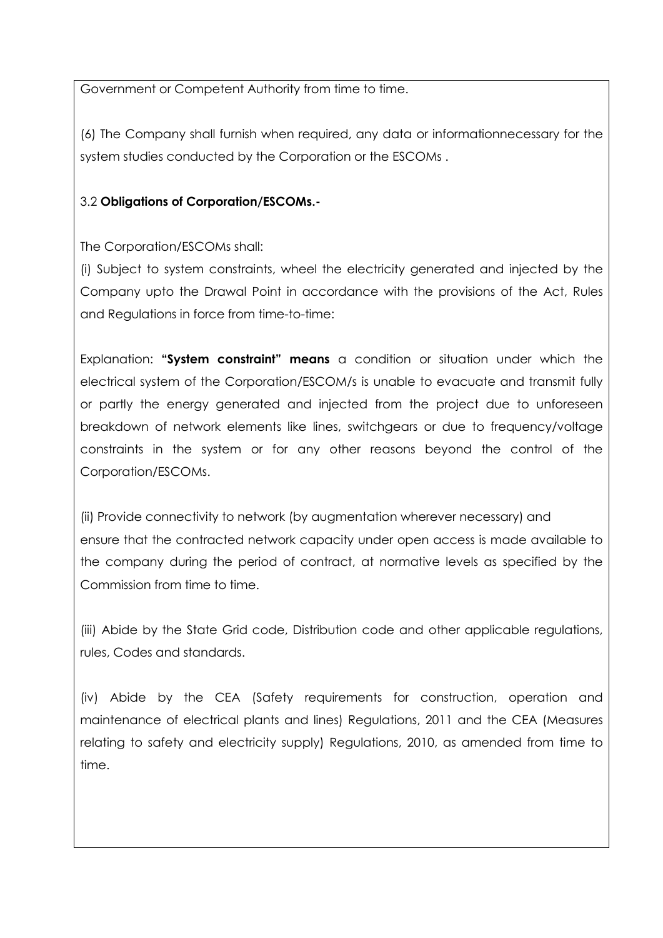Government or Competent Authority from time to time.

(6) The Company shall furnish when required, any data or informationnecessary for the system studies conducted by the Corporation or the ESCOMs .

## 3.2 **Obligations of Corporation/ESCOMs.-**

The Corporation/ESCOMs shall:

(i) Subject to system constraints, wheel the electricity generated and injected by the Company upto the Drawal Point in accordance with the provisions of the Act, Rules and Regulations in force from time-to-time:

Explanation: **"System constraint" means** a condition or situation under which the electrical system of the Corporation/ESCOM/s is unable to evacuate and transmit fully or partly the energy generated and injected from the project due to unforeseen breakdown of network elements like lines, switchgears or due to frequency/voltage constraints in the system or for any other reasons beyond the control of the Corporation/ESCOMs.

(ii) Provide connectivity to network (by augmentation wherever necessary) and ensure that the contracted network capacity under open access is made available to the company during the period of contract, at normative levels as specified by the Commission from time to time.

(iii) Abide by the State Grid code, Distribution code and other applicable regulations, rules, Codes and standards.

(iv) Abide by the CEA (Safety requirements for construction, operation and maintenance of electrical plants and lines) Regulations, 2011 and the CEA (Measures relating to safety and electricity supply) Regulations, 2010, as amended from time to time.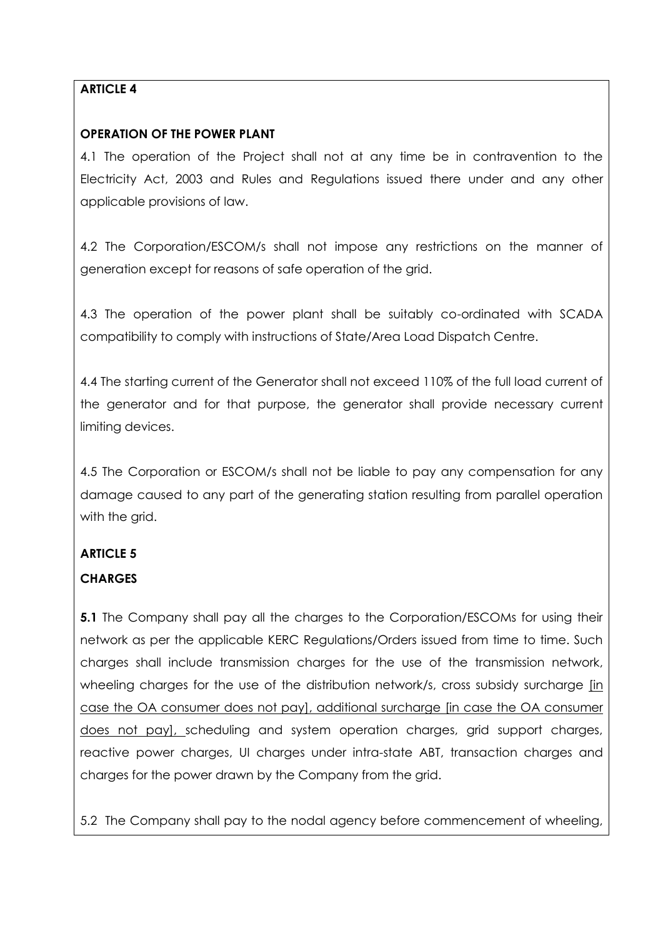## **ARTICLE 4**

### **OPERATION OF THE POWER PLANT**

4.1 The operation of the Project shall not at any time be in contravention to the Electricity Act, 2003 and Rules and Regulations issued there under and any other applicable provisions of law.

4.2 The Corporation/ESCOM/s shall not impose any restrictions on the manner of generation except for reasons of safe operation of the grid.

4.3 The operation of the power plant shall be suitably co-ordinated with SCADA compatibility to comply with instructions of State/Area Load Dispatch Centre.

4.4 The starting current of the Generator shall not exceed 110% of the full load current of the generator and for that purpose, the generator shall provide necessary current limiting devices.

4.5 The Corporation or ESCOM/s shall not be liable to pay any compensation for any damage caused to any part of the generating station resulting from parallel operation with the grid.

# **ARTICLE 5**

# **CHARGES**

**5.1** The Company shall pay all the charges to the Corporation/ESCOMs for using their network as per the applicable KERC Regulations/Orders issued from time to time. Such charges shall include transmission charges for the use of the transmission network, wheeling charges for the use of the distribution network/s, cross subsidy surcharge [in case the OA consumer does not pay], additional surcharge [in case the OA consumer does not pay], scheduling and system operation charges, grid support charges, reactive power charges, UI charges under intra-state ABT, transaction charges and charges for the power drawn by the Company from the grid.

5.2 The Company shall pay to the nodal agency before commencement of wheeling,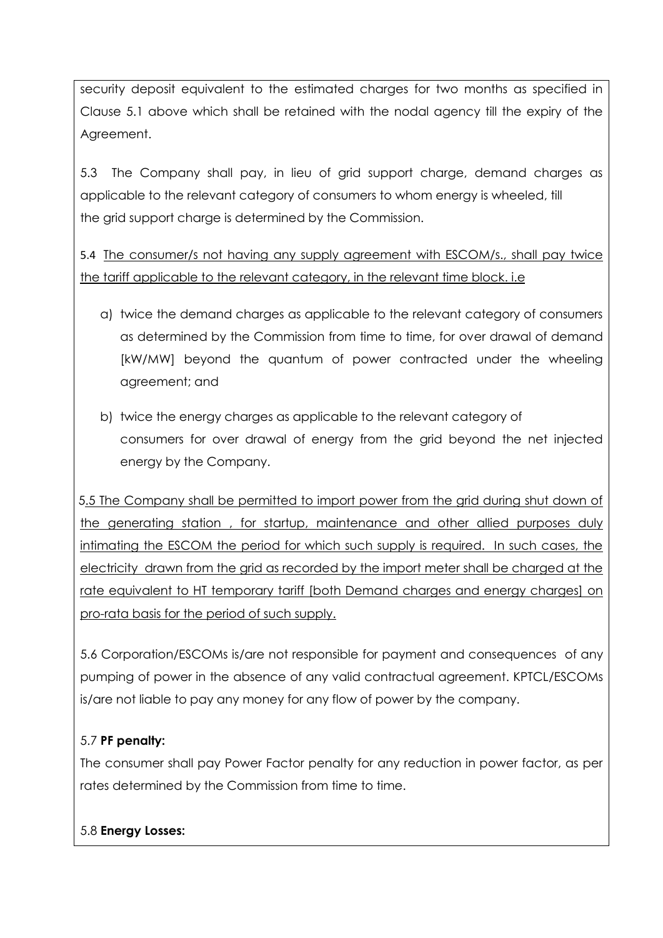security deposit equivalent to the estimated charges for two months as specified in Clause 5.1 above which shall be retained with the nodal agency till the expiry of the Agreement.

5.3 The Company shall pay, in lieu of grid support charge, demand charges as applicable to the relevant category of consumers to whom energy is wheeled, till the grid support charge is determined by the Commission.

5.4 The consumer/s not having any supply agreement with ESCOM/s., shall pay twice the tariff applicable to the relevant category, in the relevant time block. i.e

- a) twice the demand charges as applicable to the relevant category of consumers as determined by the Commission from time to time, for over drawal of demand [kW/MW] beyond the quantum of power contracted under the wheeling agreement; and
- b) twice the energy charges as applicable to the relevant category of consumers for over drawal of energy from the grid beyond the net injected energy by the Company.

5.5 The Company shall be permitted to import power from the grid during shut down of the generating station, for startup, maintenance and other allied purposes duly intimating the ESCOM the period for which such supply is required. In such cases, the electricity drawn from the grid as recorded by the import meter shall be charged at the rate equivalent to HT temporary tariff [both Demand charges and energy charges] on pro-rata basis for the period of such supply.

5.6 Corporation/ESCOMs is/are not responsible for payment and consequences of any pumping of power in the absence of any valid contractual agreement. KPTCL/ESCOMs is/are not liable to pay any money for any flow of power by the company.

## 5.7 **PF penalty:**

The consumer shall pay Power Factor penalty for any reduction in power factor, as per rates determined by the Commission from time to time.

### 5.8 **Energy Losses:**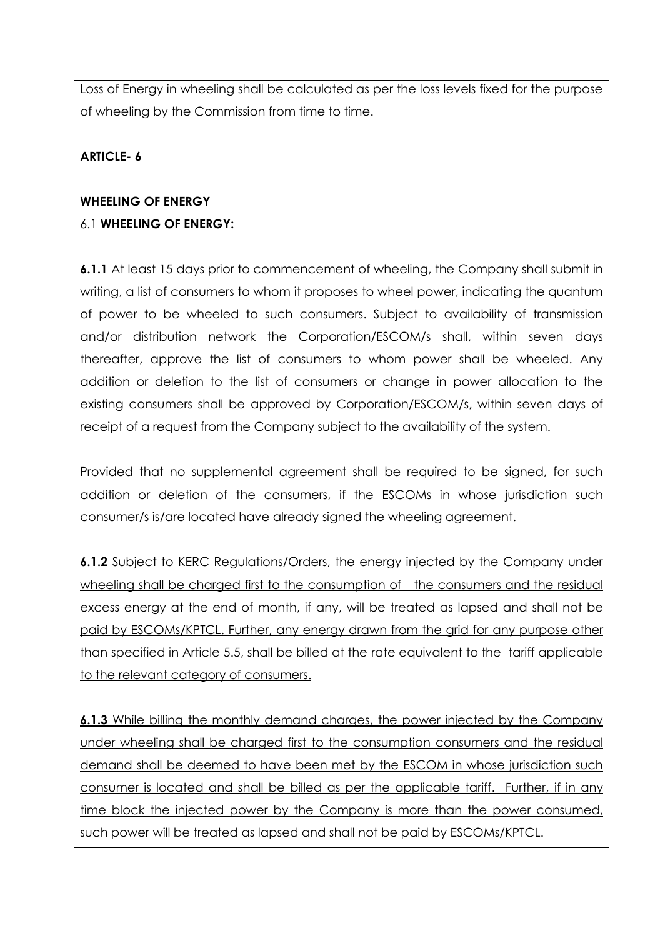Loss of Energy in wheeling shall be calculated as per the loss levels fixed for the purpose of wheeling by the Commission from time to time.

## **ARTICLE- 6**

# **WHEELING OF ENERGY**  6.1 **WHEELING OF ENERGY:**

**6.1.1** At least 15 days prior to commencement of wheeling, the Company shall submit in writing, a list of consumers to whom it proposes to wheel power, indicating the quantum of power to be wheeled to such consumers. Subject to availability of transmission and/or distribution network the Corporation/ESCOM/s shall, within seven days thereafter, approve the list of consumers to whom power shall be wheeled. Any addition or deletion to the list of consumers or change in power allocation to the existing consumers shall be approved by Corporation/ESCOM/s, within seven days of receipt of a request from the Company subject to the availability of the system.

Provided that no supplemental agreement shall be required to be signed, for such addition or deletion of the consumers, if the ESCOMs in whose jurisdiction such consumer/s is/are located have already signed the wheeling agreement.

**6.1.2** Subject to KERC Regulations/Orders, the energy injected by the Company under wheeling shall be charged first to the consumption of the consumers and the residual excess energy at the end of month, if any, will be treated as lapsed and shall not be paid by ESCOMs/KPTCL. Further, any energy drawn from the grid for any purpose other than specified in Article 5.5, shall be billed at the rate equivalent to the tariff applicable to the relevant category of consumers.

**6.1.3** While billing the monthly demand charges, the power injected by the Company under wheeling shall be charged first to the consumption consumers and the residual demand shall be deemed to have been met by the ESCOM in whose jurisdiction such consumer is located and shall be billed as per the applicable tariff. Further, if in any time block the injected power by the Company is more than the power consumed, such power will be treated as lapsed and shall not be paid by ESCOMs/KPTCL.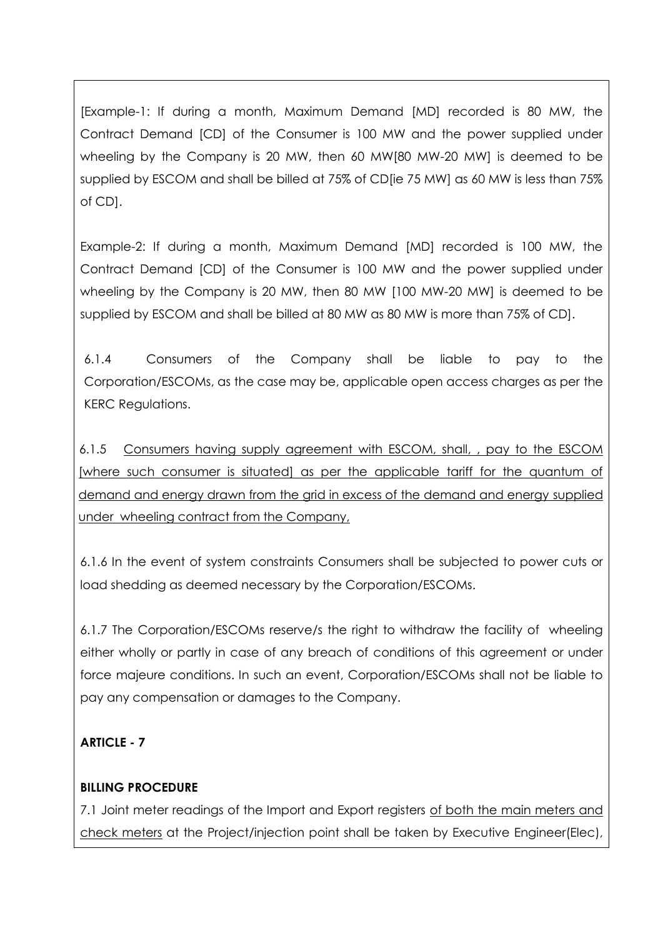[Example-1: If during a month, Maximum Demand [MD] recorded is 80 MW, the Contract Demand [CD] of the Consumer is 100 MW and the power supplied under wheeling by the Company is 20 MW, then 60 MW[80 MW-20 MW] is deemed to be supplied by ESCOM and shall be billed at 75% of CD[ie 75 MW] as 60 MW is less than 75% of CD].

Example-2: If during a month, Maximum Demand [MD] recorded is 100 MW, the Contract Demand [CD] of the Consumer is 100 MW and the power supplied under wheeling by the Company is 20 MW, then 80 MW [100 MW-20 MW] is deemed to be supplied by ESCOM and shall be billed at 80 MW as 80 MW is more than 75% of CD].

6.1.4 Consumers of the Company shall be liable to pay to the Corporation/ESCOMs, as the case may be, applicable open access charges as per the KERC Regulations.

6.1.5 Consumers having supply agreement with ESCOM, shall, , pay to the ESCOM [where such consumer is situated] as per the applicable tariff for the quantum of demand and energy drawn from the grid in excess of the demand and energy supplied under wheeling contract from the Company,

6.1.6 In the event of system constraints Consumers shall be subjected to power cuts or load shedding as deemed necessary by the Corporation/ESCOMs.

6.1.7 The Corporation/ESCOMs reserve/s the right to withdraw the facility of wheeling either wholly or partly in case of any breach of conditions of this agreement or under force majeure conditions. In such an event, Corporation/ESCOMs shall not be liable to pay any compensation or damages to the Company.

## **ARTICLE - 7**

### **BILLING PROCEDURE**

7.1 Joint meter readings of the Import and Export registers of both the main meters and check meters at the Project/injection point shall be taken by Executive Engineer(Elec),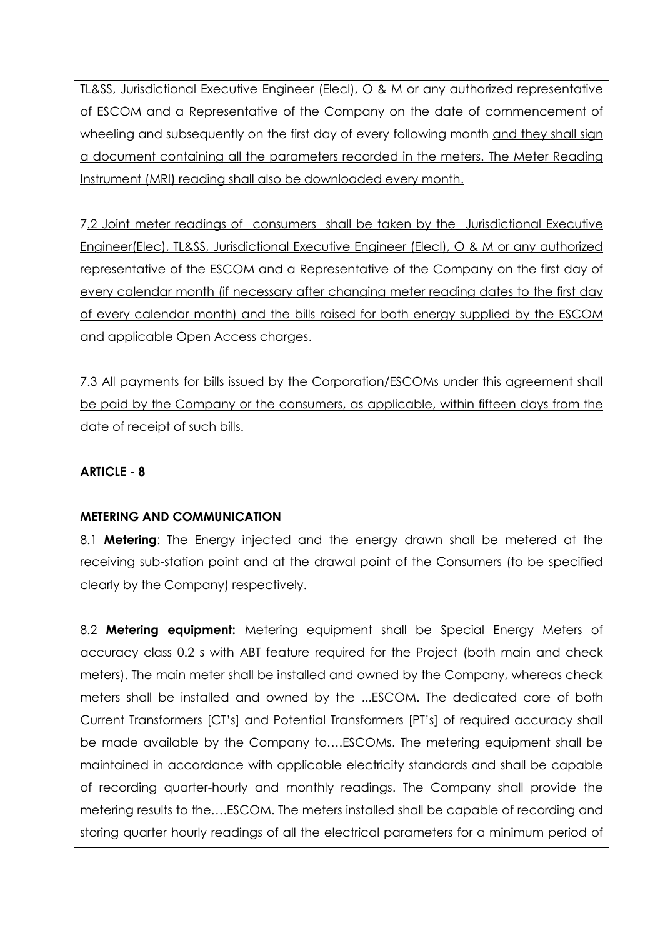TL&SS, Jurisdictional Executive Engineer (Elecl), O & M or any authorized representative of ESCOM and a Representative of the Company on the date of commencement of wheeling and subsequently on the first day of every following month and they shall sign a document containing all the parameters recorded in the meters. The Meter Reading Instrument (MRI) reading shall also be downloaded every month.

7.2 Joint meter readings of consumers shall be taken by the Jurisdictional Executive Engineer(Elec), TL&SS, Jurisdictional Executive Engineer (Elecl), O & M or any authorized representative of the ESCOM and a Representative of the Company on the first day of every calendar month (if necessary after changing meter reading dates to the first day of every calendar month) and the bills raised for both energy supplied by the ESCOM and applicable Open Access charges.

7.3 All payments for bills issued by the Corporation/ESCOMs under this agreement shall be paid by the Company or the consumers, as applicable, within fifteen days from the date of receipt of such bills.

## **ARTICLE - 8**

### **METERING AND COMMUNICATION**

8.1 **Metering**: The Energy injected and the energy drawn shall be metered at the receiving sub-station point and at the drawal point of the Consumers (to be specified clearly by the Company) respectively.

8.2 **Metering equipment:** Metering equipment shall be Special Energy Meters of accuracy class 0.2 s with ABT feature required for the Project (both main and check meters). The main meter shall be installed and owned by the Company, whereas check meters shall be installed and owned by the ...ESCOM. The dedicated core of both Current Transformers [CT"s] and Potential Transformers [PT"s] of required accuracy shall be made available by the Company to….ESCOMs. The metering equipment shall be maintained in accordance with applicable electricity standards and shall be capable of recording quarter-hourly and monthly readings. The Company shall provide the metering results to the….ESCOM. The meters installed shall be capable of recording and storing quarter hourly readings of all the electrical parameters for a minimum period of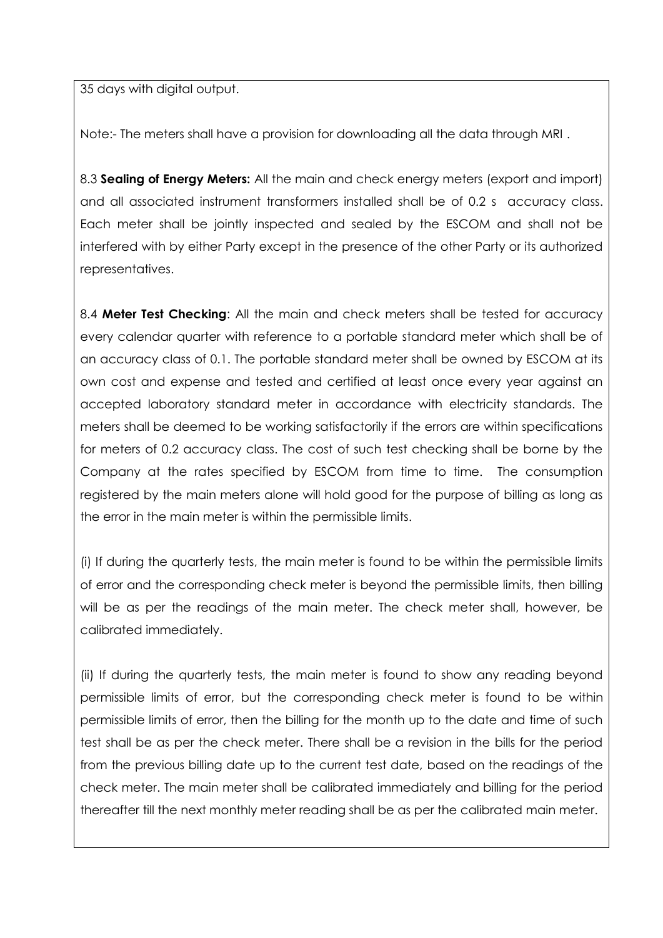35 days with digital output.

Note:- The meters shall have a provision for downloading all the data through MRI .

8.3 **Sealing of Energy Meters:** All the main and check energy meters (export and import) and all associated instrument transformers installed shall be of 0.2 s accuracy class. Each meter shall be jointly inspected and sealed by the ESCOM and shall not be interfered with by either Party except in the presence of the other Party or its authorized representatives.

8.4 **Meter Test Checking**: All the main and check meters shall be tested for accuracy every calendar quarter with reference to a portable standard meter which shall be of an accuracy class of 0.1. The portable standard meter shall be owned by ESCOM at its own cost and expense and tested and certified at least once every year against an accepted laboratory standard meter in accordance with electricity standards. The meters shall be deemed to be working satisfactorily if the errors are within specifications for meters of 0.2 accuracy class. The cost of such test checking shall be borne by the Company at the rates specified by ESCOM from time to time. The consumption registered by the main meters alone will hold good for the purpose of billing as long as the error in the main meter is within the permissible limits.

(i) If during the quarterly tests, the main meter is found to be within the permissible limits of error and the corresponding check meter is beyond the permissible limits, then billing will be as per the readings of the main meter. The check meter shall, however, be calibrated immediately.

(ii) If during the quarterly tests, the main meter is found to show any reading beyond permissible limits of error, but the corresponding check meter is found to be within permissible limits of error, then the billing for the month up to the date and time of such test shall be as per the check meter. There shall be a revision in the bills for the period from the previous billing date up to the current test date, based on the readings of the check meter. The main meter shall be calibrated immediately and billing for the period thereafter till the next monthly meter reading shall be as per the calibrated main meter.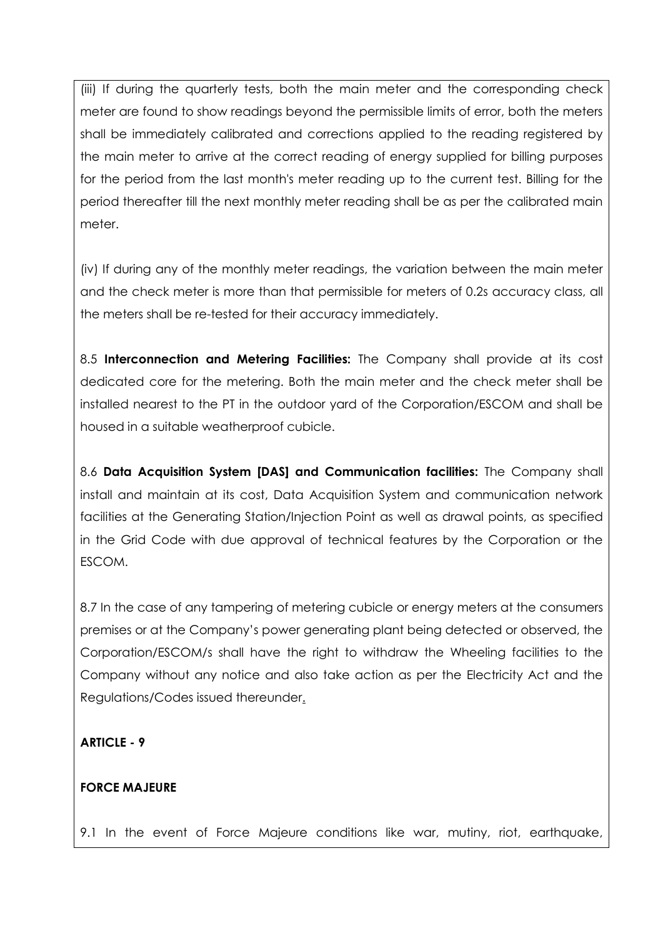(iii) If during the quarterly tests, both the main meter and the corresponding check meter are found to show readings beyond the permissible limits of error, both the meters shall be immediately calibrated and corrections applied to the reading registered by the main meter to arrive at the correct reading of energy supplied for billing purposes for the period from the last month's meter reading up to the current test. Billing for the period thereafter till the next monthly meter reading shall be as per the calibrated main meter.

(iv) If during any of the monthly meter readings, the variation between the main meter and the check meter is more than that permissible for meters of 0.2s accuracy class, all the meters shall be re-tested for their accuracy immediately.

8.5 **Interconnection and Metering Facilities:** The Company shall provide at its cost dedicated core for the metering. Both the main meter and the check meter shall be installed nearest to the PT in the outdoor yard of the Corporation/ESCOM and shall be housed in a suitable weatherproof cubicle.

8.6 **Data Acquisition System [DAS] and Communication facilities:** The Company shall install and maintain at its cost, Data Acquisition System and communication network facilities at the Generating Station/Injection Point as well as drawal points, as specified in the Grid Code with due approval of technical features by the Corporation or the ESCOM.

8.7 In the case of any tampering of metering cubicle or energy meters at the consumers premises or at the Company"s power generating plant being detected or observed, the Corporation/ESCOM/s shall have the right to withdraw the Wheeling facilities to the Company without any notice and also take action as per the Electricity Act and the Regulations/Codes issued thereunder.

### **ARTICLE - 9**

### **FORCE MAJEURE**

9.1 In the event of Force Majeure conditions like war, mutiny, riot, earthquake,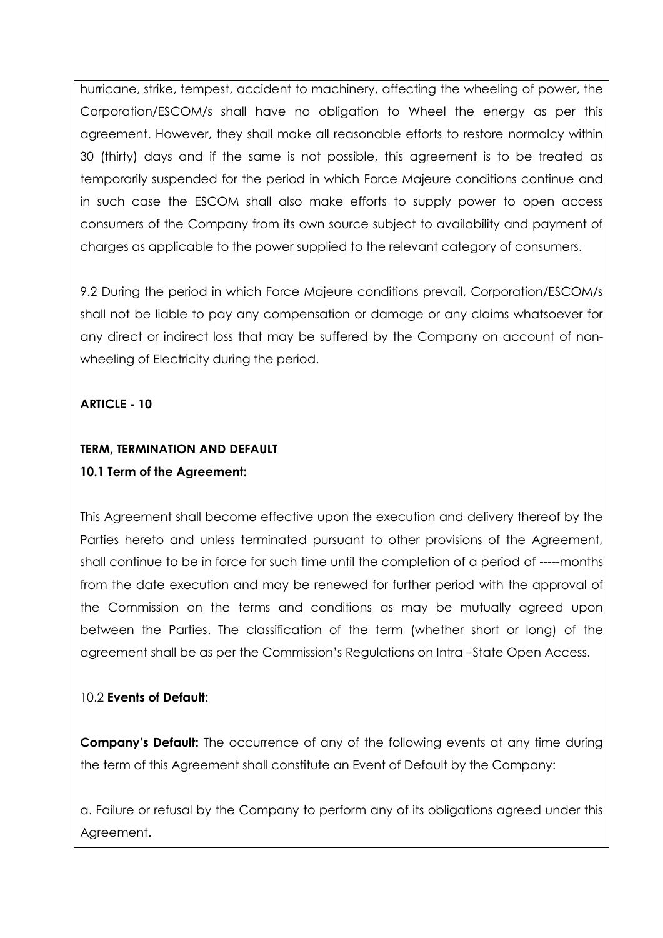hurricane, strike, tempest, accident to machinery, affecting the wheeling of power, the Corporation/ESCOM/s shall have no obligation to Wheel the energy as per this agreement. However, they shall make all reasonable efforts to restore normalcy within 30 (thirty) days and if the same is not possible, this agreement is to be treated as temporarily suspended for the period in which Force Majeure conditions continue and in such case the ESCOM shall also make efforts to supply power to open access consumers of the Company from its own source subject to availability and payment of charges as applicable to the power supplied to the relevant category of consumers.

9.2 During the period in which Force Majeure conditions prevail, Corporation/ESCOM/s shall not be liable to pay any compensation or damage or any claims whatsoever for any direct or indirect loss that may be suffered by the Company on account of nonwheeling of Electricity during the period.

**ARTICLE - 10** 

# **TERM, TERMINATION AND DEFAULT 10.1 Term of the Agreement:**

This Agreement shall become effective upon the execution and delivery thereof by the Parties hereto and unless terminated pursuant to other provisions of the Agreement, shall continue to be in force for such time until the completion of a period of -----months from the date execution and may be renewed for further period with the approval of the Commission on the terms and conditions as may be mutually agreed upon between the Parties. The classification of the term (whether short or long) of the agreement shall be as per the Commission"s Regulations on Intra –State Open Access.

## 10.2 **Events of Default**:

**Company's Default:** The occurrence of any of the following events at any time during the term of this Agreement shall constitute an Event of Default by the Company:

a. Failure or refusal by the Company to perform any of its obligations agreed under this Agreement.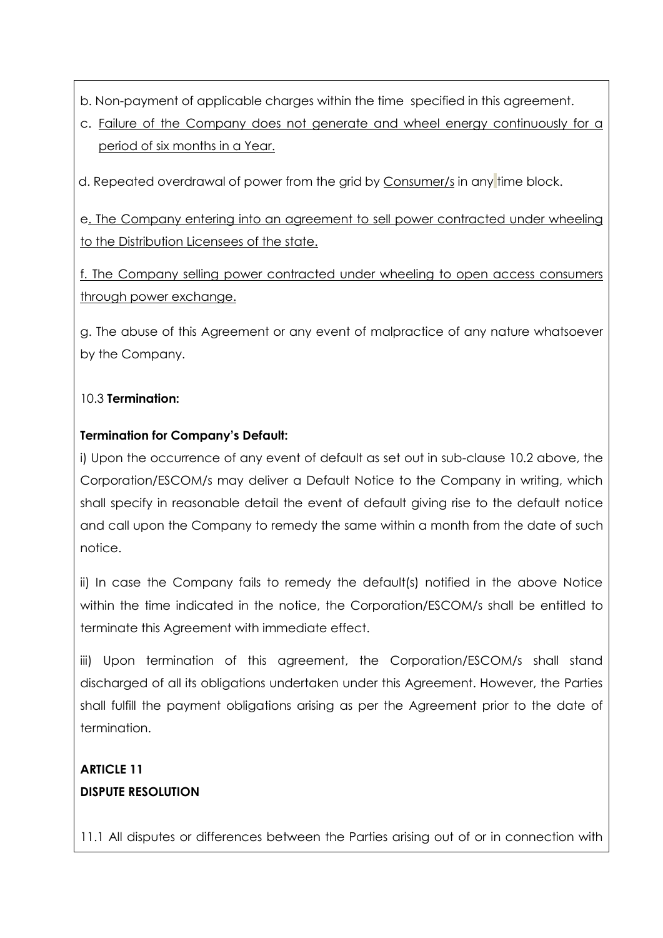- b. Non-payment of applicable charges within the time specified in this agreement.
- c. Failure of the Company does not generate and wheel energy continuously for a period of six months in a Year.

d. Repeated overdrawal of power from the grid by Consumer/s in any time block.

e. The Company entering into an agreement to sell power contracted under wheeling to the Distribution Licensees of the state.

f. The Company selling power contracted under wheeling to open access consumers through power exchange.

g. The abuse of this Agreement or any event of malpractice of any nature whatsoever by the Company.

## 10.3 **Termination:**

## **Termination for Company's Default:**

i) Upon the occurrence of any event of default as set out in sub-clause 10.2 above, the Corporation/ESCOM/s may deliver a Default Notice to the Company in writing, which shall specify in reasonable detail the event of default giving rise to the default notice and call upon the Company to remedy the same within a month from the date of such notice.

ii) In case the Company fails to remedy the default(s) notified in the above Notice within the time indicated in the notice, the Corporation/ESCOM/s shall be entitled to terminate this Agreement with immediate effect.

iii) Upon termination of this agreement, the Corporation/ESCOM/s shall stand discharged of all its obligations undertaken under this Agreement. However, the Parties shall fulfill the payment obligations arising as per the Agreement prior to the date of termination.

# **ARTICLE 11 DISPUTE RESOLUTION**

11.1 All disputes or differences between the Parties arising out of or in connection with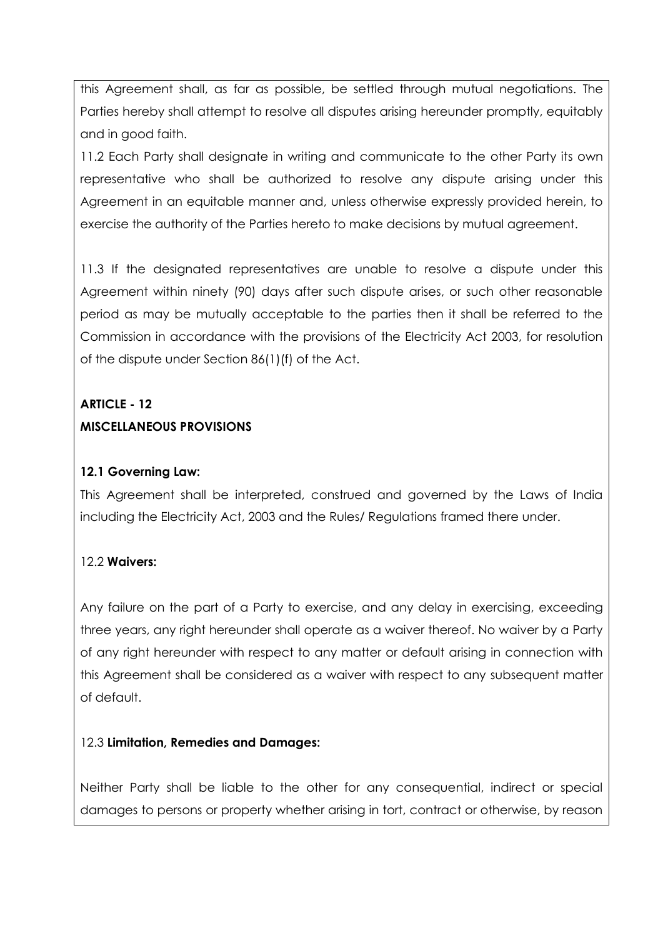this Agreement shall, as far as possible, be settled through mutual negotiations. The Parties hereby shall attempt to resolve all disputes arising hereunder promptly, equitably and in good faith.

11.2 Each Party shall designate in writing and communicate to the other Party its own representative who shall be authorized to resolve any dispute arising under this Agreement in an equitable manner and, unless otherwise expressly provided herein, to exercise the authority of the Parties hereto to make decisions by mutual agreement.

11.3 If the designated representatives are unable to resolve a dispute under this Agreement within ninety (90) days after such dispute arises, or such other reasonable period as may be mutually acceptable to the parties then it shall be referred to the Commission in accordance with the provisions of the Electricity Act 2003, for resolution of the dispute under Section 86(1)(f) of the Act.

# **ARTICLE - 12 MISCELLANEOUS PROVISIONS**

## **12.1 Governing Law:**

This Agreement shall be interpreted, construed and governed by the Laws of India including the Electricity Act, 2003 and the Rules/ Regulations framed there under.

### 12.2 **Waivers:**

Any failure on the part of a Party to exercise, and any delay in exercising, exceeding three years, any right hereunder shall operate as a waiver thereof. No waiver by a Party of any right hereunder with respect to any matter or default arising in connection with this Agreement shall be considered as a waiver with respect to any subsequent matter of default.

### 12.3 **Limitation, Remedies and Damages:**

Neither Party shall be liable to the other for any consequential, indirect or special damages to persons or property whether arising in tort, contract or otherwise, by reason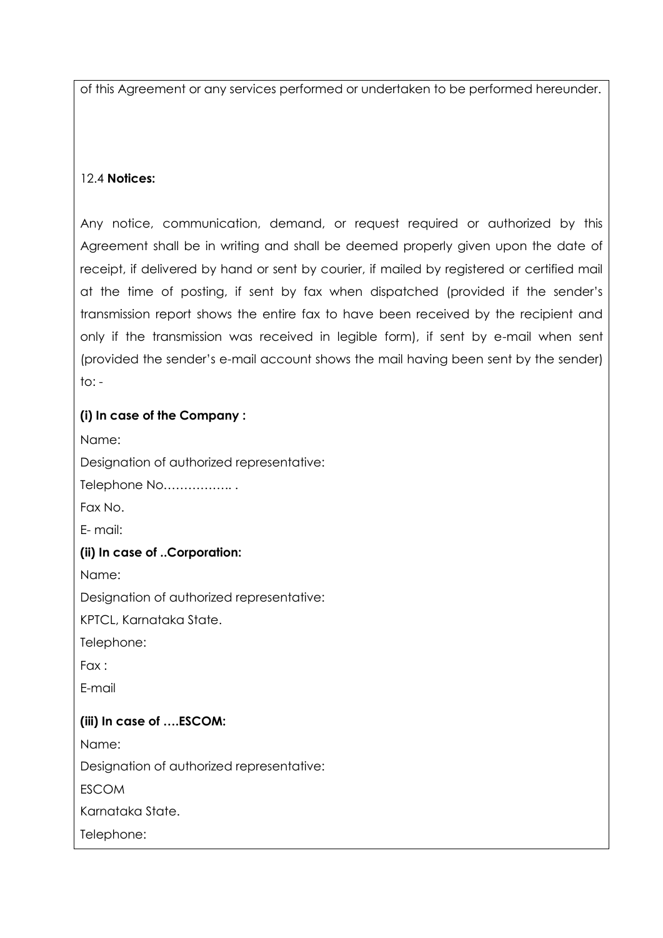of this Agreement or any services performed or undertaken to be performed hereunder.

### 12.4 **Notices:**

Any notice, communication, demand, or request required or authorized by this Agreement shall be in writing and shall be deemed properly given upon the date of receipt, if delivered by hand or sent by courier, if mailed by registered or certified mail at the time of posting, if sent by fax when dispatched (provided if the sender"s transmission report shows the entire fax to have been received by the recipient and only if the transmission was received in legible form), if sent by e-mail when sent (provided the sender"s e-mail account shows the mail having been sent by the sender)  $to: -$ 

### **(i) In case of the Company :**

Name:

Designation of authorized representative:

Telephone No…………….. .

Fax No.

E- mail:

### **(ii) In case of ..Corporation:**

Name:

Designation of authorized representative:

KPTCL, Karnataka State.

Telephone:

Fax :

E-mail

### **(iii) In case of ….ESCOM:**

Name:

Designation of authorized representative:

**ESCOM** 

Karnataka State.

Telephone: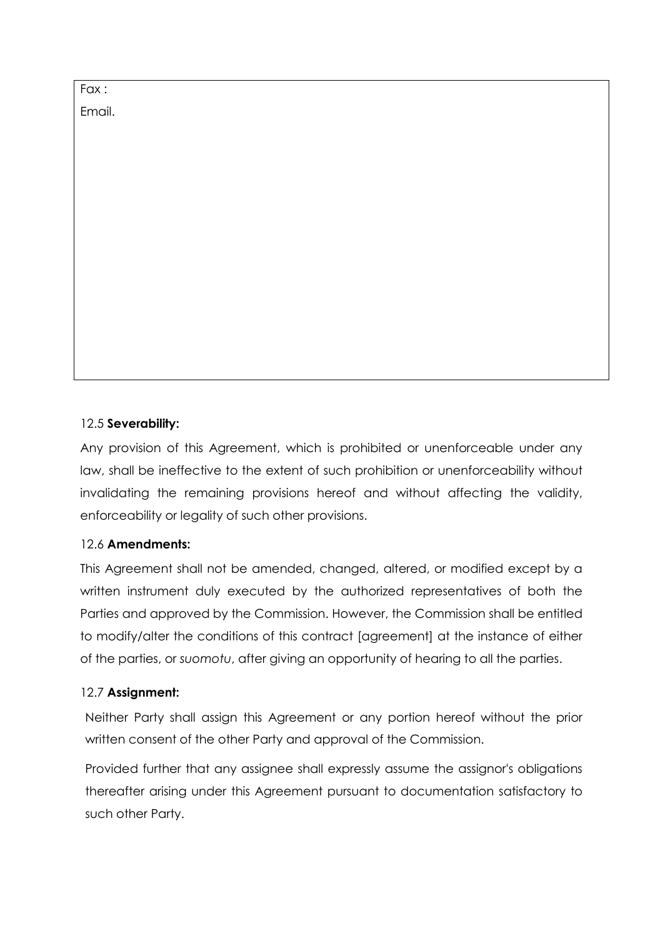Fax : Email.

### 12.5 **Severability:**

Any provision of this Agreement, which is prohibited or unenforceable under any law, shall be ineffective to the extent of such prohibition or unenforceability without invalidating the remaining provisions hereof and without affecting the validity, enforceability or legality of such other provisions.

### 12.6 **Amendments:**

This Agreement shall not be amended, changed, altered, or modified except by a written instrument duly executed by the authorized representatives of both the Parties and approved by the Commission. However, the Commission shall be entitled to modify/alter the conditions of this contract [agreement] at the instance of either of the parties, or *suomotu*, after giving an opportunity of hearing to all the parties.

### 12.7 **Assignment:**

Neither Party shall assign this Agreement or any portion hereof without the prior written consent of the other Party and approval of the Commission.

Provided further that any assignee shall expressly assume the assignor's obligations thereafter arising under this Agreement pursuant to documentation satisfactory to such other Party.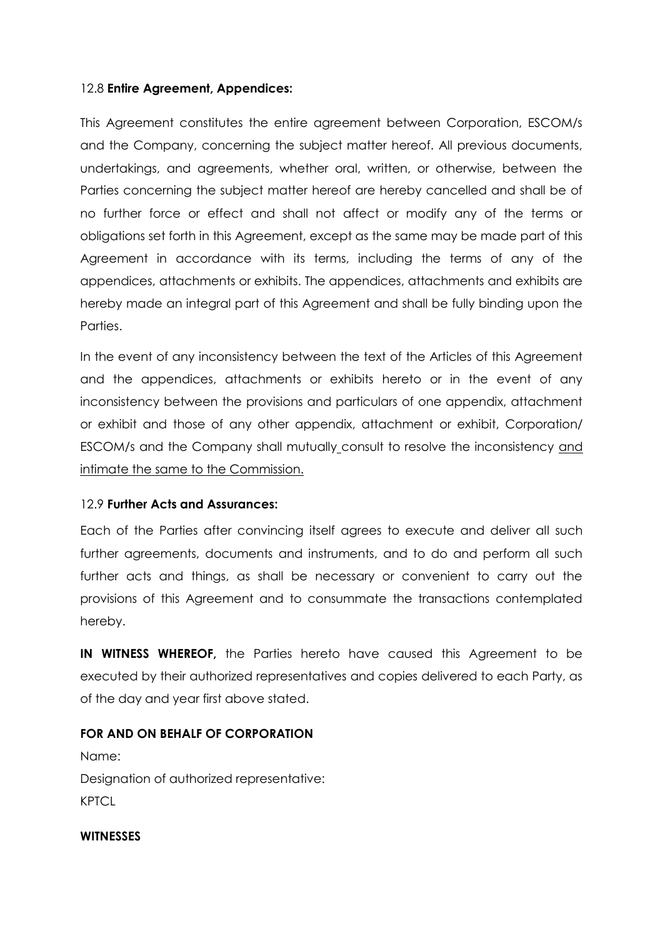### 12.8 **Entire Agreement, Appendices:**

This Agreement constitutes the entire agreement between Corporation, ESCOM/s and the Company, concerning the subject matter hereof. All previous documents, undertakings, and agreements, whether oral, written, or otherwise, between the Parties concerning the subject matter hereof are hereby cancelled and shall be of no further force or effect and shall not affect or modify any of the terms or obligations set forth in this Agreement, except as the same may be made part of this Agreement in accordance with its terms, including the terms of any of the appendices, attachments or exhibits. The appendices, attachments and exhibits are hereby made an integral part of this Agreement and shall be fully binding upon the Parties.

In the event of any inconsistency between the text of the Articles of this Agreement and the appendices, attachments or exhibits hereto or in the event of any inconsistency between the provisions and particulars of one appendix, attachment or exhibit and those of any other appendix, attachment or exhibit, Corporation/ ESCOM/s and the Company shall mutually consult to resolve the inconsistency and intimate the same to the Commission.

#### 12.9 **Further Acts and Assurances:**

Each of the Parties after convincing itself agrees to execute and deliver all such further agreements, documents and instruments, and to do and perform all such further acts and things, as shall be necessary or convenient to carry out the provisions of this Agreement and to consummate the transactions contemplated hereby.

**IN WITNESS WHEREOF,** the Parties hereto have caused this Agreement to be executed by their authorized representatives and copies delivered to each Party, as of the day and year first above stated.

### **FOR AND ON BEHALF OF CORPORATION**

Name: Designation of authorized representative: **KPTCL** 

#### **WITNESSES**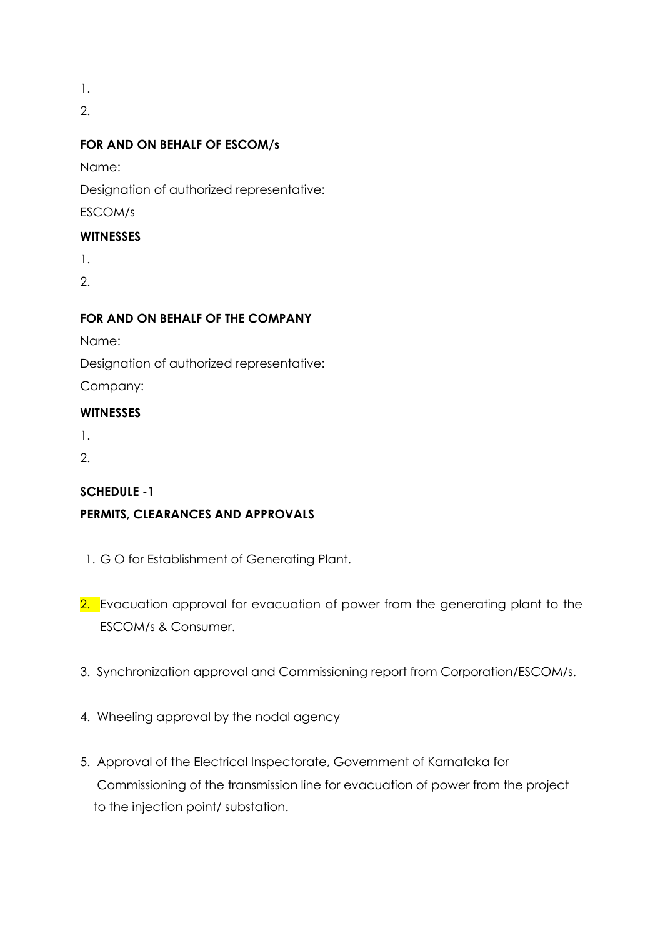1.

2.

## **FOR AND ON BEHALF OF ESCOM/s**

Name:

Designation of authorized representative:

ESCOM/s

## **WITNESSES**

1.

2.

## **FOR AND ON BEHALF OF THE COMPANY**

Name:

Designation of authorized representative:

Company:

## **WITNESSES**

1.

2.

## **SCHEDULE -1**

# **PERMITS, CLEARANCES AND APPROVALS**

- 1. G O for Establishment of Generating Plant.
- 2. Evacuation approval for evacuation of power from the generating plant to the ESCOM/s & Consumer.
- 3. Synchronization approval and Commissioning report from Corporation/ESCOM/s.
- 4. Wheeling approval by the nodal agency
- 5. Approval of the Electrical Inspectorate, Government of Karnataka for Commissioning of the transmission line for evacuation of power from the project to the injection point/ substation.